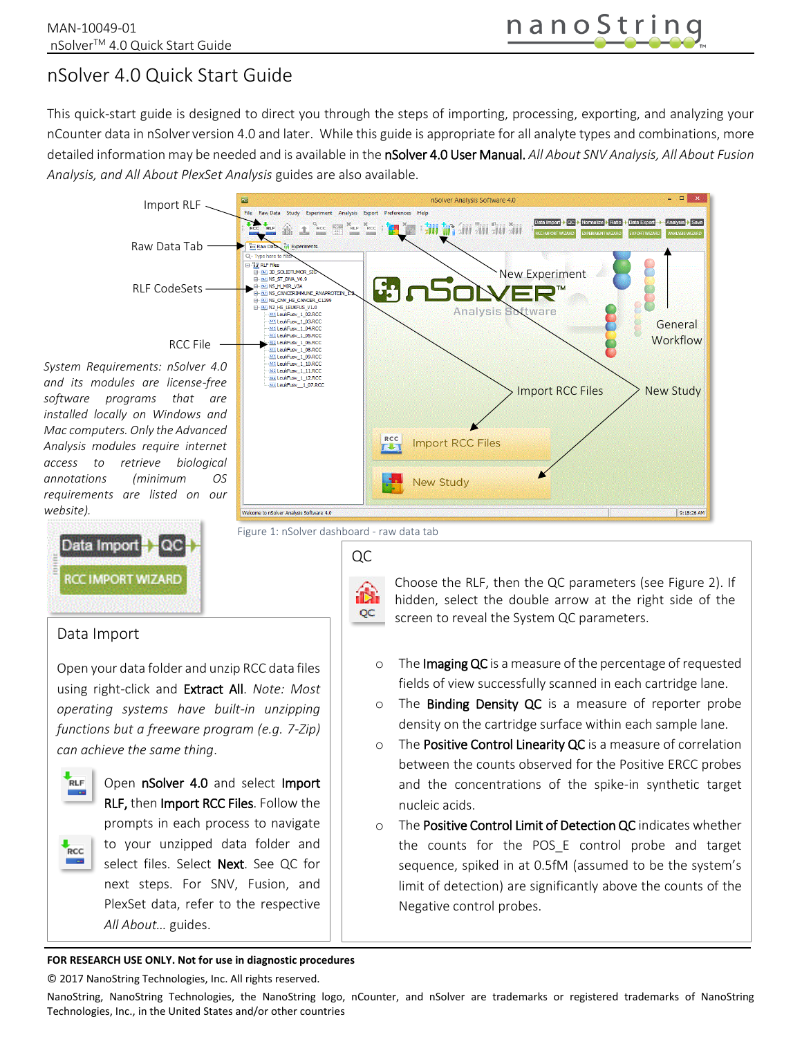# nSolver 4.0 Quick Start Guide

This quick-start guide is designed to direct you through the steps of importing, processing, exporting, and analyzing your nCounter data in nSolver version 4.0 and later. While this guide is appropriate for all analyte types and combinations, more detailed information may be needed and is available in the nSolver 4.0 User Manual. *All About SNV Analysis, All About Fusion Analysis, and All About PlexSet Analysis* guides are also available.



#### **FOR RESEARCH USE ONLY. Not for use in diagnostic procedures**

© 2017 NanoString Technologies, Inc. All rights reserved.

NanoString, NanoString Technologies, the NanoString logo, nCounter, and nSolver are trademarks or registered trademarks of NanoString Technologies, Inc., in the United States and/or other countries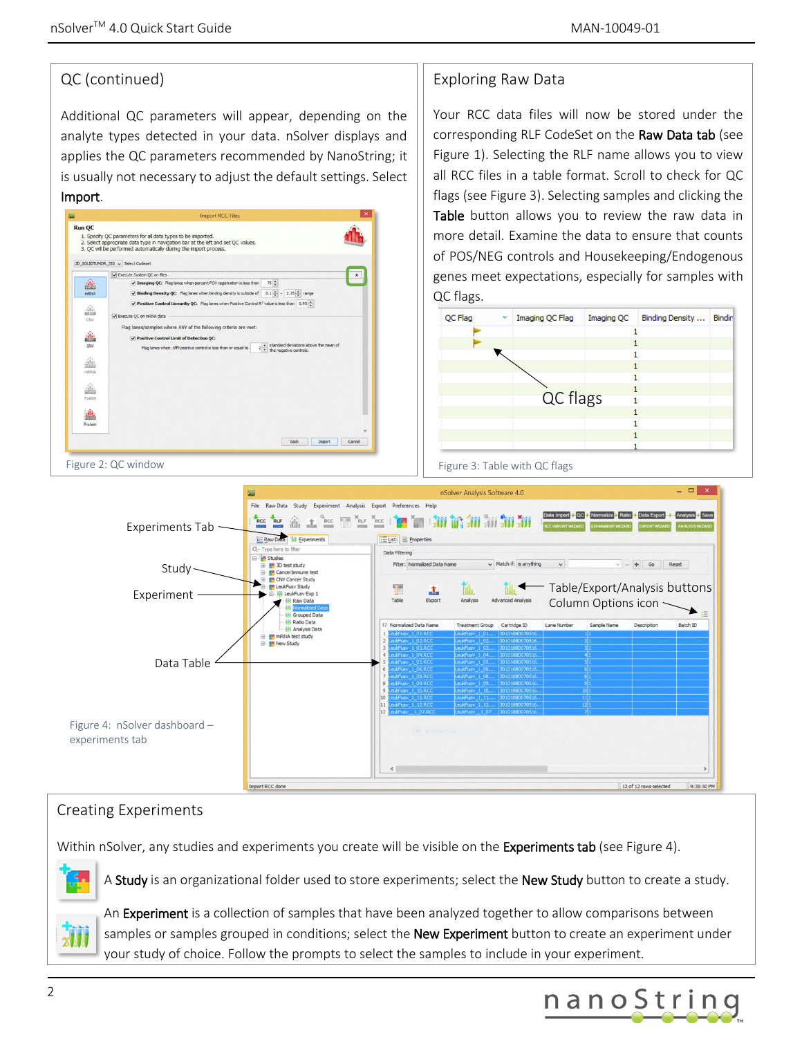# QC (continued)

Additional QC parameters will appear, depending on the analyte types detected in your data. nSolver displays and applies the QC parameters recommended by NanoString; it is usually not necessary to adjust the default settings. Select Import.



# Exploring Raw Data

Your RCC data files will now be stored under the corresponding RLF CodeSet on the Raw Data tab (see Figure 1). Selecting the RLF name allows you to view all RCC files in a table format. Scroll to check for QC flags (see Figure 3). Selecting samples and clicking the Table button allows you to review the raw data in more detail. Examine the data to ensure that counts of POS/NEG controls and Housekeeping/Endogenous genes meet expectations, especially for samples with QC flags.





# Creating Experiments

Within nSolver, any studies and experiments you create will be visible on the Experiments tab (see Figure 4).



A Study is an organizational folder used to store experiments; select the New Study button to create a study.



An Experiment is a collection of samples that have been analyzed together to allow comparisons between samples or samples grouped in conditions; select the **New Experiment** button to create an experiment under your study of choice. Follow the prompts to select the samples to include in your experiment.

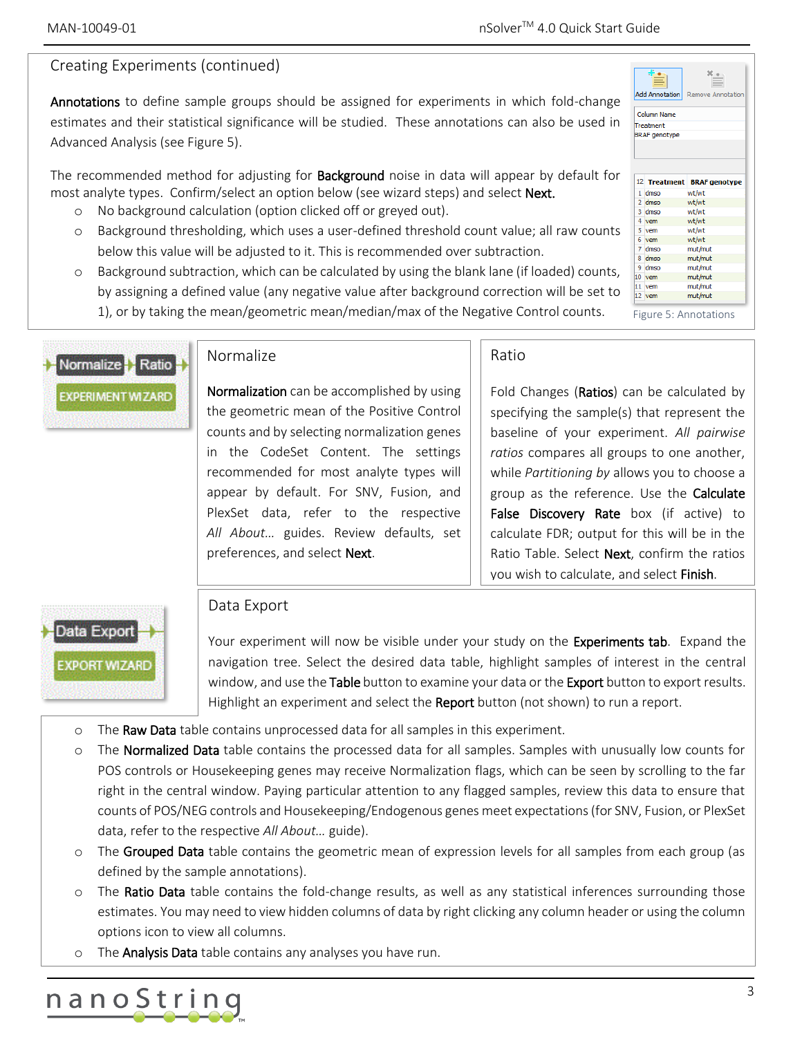### Creating Experiments (continued)

Annotations to define sample groups should be assigned for experiments in which fold-change estimates and their statistical significance will be studied. These annotations can also be used in Advanced Analysis (see Figure 5).

The recommended method for adjusting for **Background** noise in data will appear by default for most analyte types. Confirm/select an option below (see wizard steps) and select Next.

- o No background calculation (option clicked off or greyed out).
- o Background thresholding, which uses a user-defined threshold count value; all raw counts below this value will be adjusted to it. This is recommended over subtraction.
- o Background subtraction, which can be calculated by using the blank lane (if loaded) counts, by assigning a defined value (any negative value after background correction will be set to 1), or by taking the mean/geometric mean/median/max of the Negative Control counts.



#### Normalize

Normalization can be accomplished by using the geometric mean of the Positive Control counts and by selecting normalization genes in the CodeSet Content. The settings recommended for most analyte types will appear by default. For SNV, Fusion, and PlexSet data, refer to the respective *All About…* guides. Review defaults, set preferences, and select Next.

#### Ratio

Fold Changes (Ratios) can be calculated by specifying the sample(s) that represent the baseline of your experiment. *All pairwise ratios* compares all groups to one another, while *Partitioning by* allows you to choose a group as the reference. Use the **Calculate** False Discovery Rate box (if active) to calculate FDR; output for this will be in the Ratio Table. Select Next, confirm the ratios you wish to calculate, and select Finish.



#### Data Export

Your experiment will now be visible under your study on the **Experiments tab**. Expand the navigation tree. Select the desired data table, highlight samples of interest in the central window, and use the Table button to examine your data or the Export button to export results. Highlight an experiment and select the **Report** button (not shown) to run a report.

- o The Raw Data table contains unprocessed data for all samples in this experiment.
- o The Normalized Data table contains the processed data for all samples. Samples with unusually low counts for POS controls or Housekeeping genes may receive Normalization flags, which can be seen by scrolling to the far right in the central window. Paying particular attention to any flagged samples, review this data to ensure that counts of POS/NEG controls and Housekeeping/Endogenous genes meet expectations (for SNV, Fusion, or PlexSet data, refer to the respective *All About…* guide).
- o The Grouped Data table contains the geometric mean of expression levels for all samples from each group (as defined by the sample annotations).
- o The Ratio Data table contains the fold-change results, as well as any statistical inferences surrounding those estimates. You may need to view hidden columns of data by right clicking any column header or using the column options icon to view all columns.
- The **Analysis Data** table contains any analyses you have run.



| <b>Add Annotation</b><br><b>Remove Annotation</b> |              |                      |
|---------------------------------------------------|--------------|----------------------|
| <b>Column Name</b><br>Treatment                   |              |                      |
|                                                   |              |                      |
|                                                   |              |                      |
|                                                   |              |                      |
|                                                   |              |                      |
|                                                   | 12 Treatment | <b>BRAF</b> genotype |
|                                                   | 1 dmso       | wt/wt                |
|                                                   | 2 dmso       | wt/wt                |
|                                                   | 3 dmso       | wt/wt                |
|                                                   | 4 vem        | wt/wt                |
|                                                   | 5 vem        | wt/wt                |
|                                                   | 6 vem        | wt/wt                |
|                                                   |              |                      |
|                                                   | $7$ dmso     | mut/mut              |
|                                                   | 8 dmso       | mut/mut              |
|                                                   | 9 dmso       | mut/mut              |
| 10                                                | vem          | mut/mut              |
|                                                   | 11 vem       | mut/mut              |